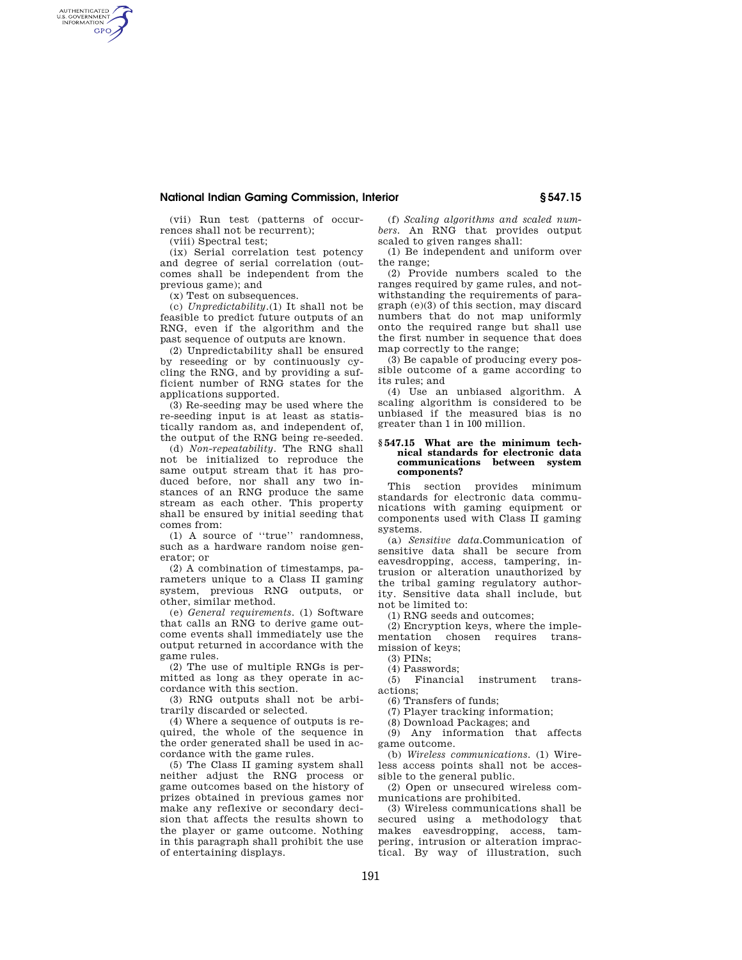## **National Indian Gaming Commission, Interior § 547.15**

(vii) Run test (patterns of occurrences shall not be recurrent);

(viii) Spectral test;

AUTHENTICATED<br>U.S. GOVERNMENT<br>INFORMATION **GPO** 

> (ix) Serial correlation test potency and degree of serial correlation (outcomes shall be independent from the previous game); and

(x) Test on subsequences.

(c) *Unpredictability.*(1) It shall not be feasible to predict future outputs of an RNG, even if the algorithm and the past sequence of outputs are known.

(2) Unpredictability shall be ensured by reseeding or by continuously cycling the RNG, and by providing a sufficient number of RNG states for the applications supported.

(3) Re-seeding may be used where the re-seeding input is at least as statistically random as, and independent of, the output of the RNG being re-seeded.

(d) *Non-repeatability.* The RNG shall not be initialized to reproduce the same output stream that it has produced before, nor shall any two instances of an RNG produce the same stream as each other. This property shall be ensured by initial seeding that comes from:

(1) A source of ''true'' randomness, such as a hardware random noise generator; or

(2) A combination of timestamps, parameters unique to a Class II gaming system, previous RNG outputs, or other, similar method.

(e) *General requirements.* (1) Software that calls an RNG to derive game outcome events shall immediately use the output returned in accordance with the game rules.

(2) The use of multiple RNGs is permitted as long as they operate in accordance with this section.

(3) RNG outputs shall not be arbitrarily discarded or selected.

(4) Where a sequence of outputs is required, the whole of the sequence in the order generated shall be used in accordance with the game rules.

(5) The Class II gaming system shall neither adjust the RNG process or game outcomes based on the history of prizes obtained in previous games nor make any reflexive or secondary decision that affects the results shown to the player or game outcome. Nothing in this paragraph shall prohibit the use of entertaining displays.

(f) *Scaling algorithms and scaled numbers.* An RNG that provides output scaled to given ranges shall:

(1) Be independent and uniform over the range;

(2) Provide numbers scaled to the ranges required by game rules, and notwithstanding the requirements of paragraph (e)(3) of this section, may discard numbers that do not map uniformly onto the required range but shall use the first number in sequence that does map correctly to the range;

(3) Be capable of producing every possible outcome of a game according to its rules; and

(4) Use an unbiased algorithm. A scaling algorithm is considered to be unbiased if the measured bias is no greater than 1 in 100 million.

#### **§ 547.15 What are the minimum technical standards for electronic data communications between system components?**

This section provides minimum standards for electronic data communications with gaming equipment or components used with Class II gaming systems.

(a) *Sensitive data.*Communication of sensitive data shall be secure from eavesdropping, access, tampering, intrusion or alteration unauthorized by the tribal gaming regulatory authority. Sensitive data shall include, but not be limited to:

(1) RNG seeds and outcomes;

(2) Encryption keys, where the implementation chosen requires transmission of keys;

(3) PINs;

(4) Passwords;

(5) Financial instrument transactions;

(6) Transfers of funds;

(7) Player tracking information;

(8) Download Packages; and

(9) Any information that affects game outcome.

(b) *Wireless communications.* (1) Wireless access points shall not be accessible to the general public.

(2) Open or unsecured wireless communications are prohibited.

(3) Wireless communications shall be secured using a methodology that makes eavesdropping, access, tampering, intrusion or alteration impractical. By way of illustration, such